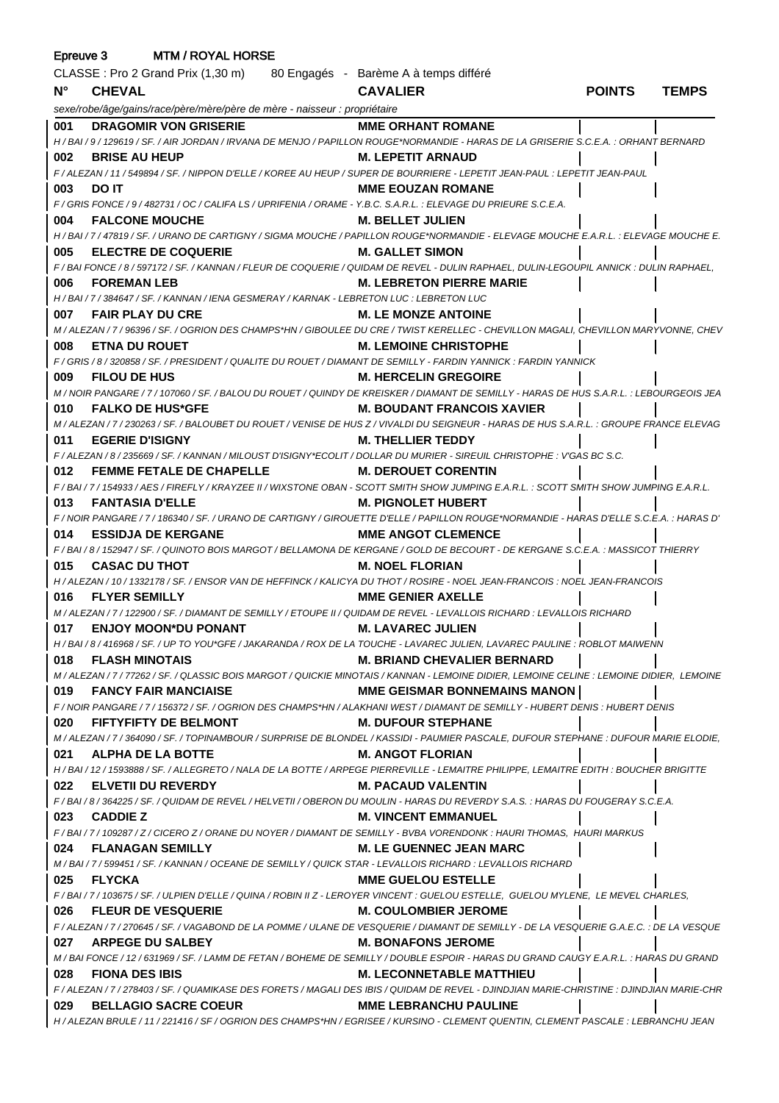| Epreuve 3<br><b>MTM / ROYAL HORSE</b> |                                                                                                                                                      |                                       |               |              |  |
|---------------------------------------|------------------------------------------------------------------------------------------------------------------------------------------------------|---------------------------------------|---------------|--------------|--|
|                                       | CLASSE : Pro 2 Grand Prix (1,30 m) 80 Engagés - Barème A à temps différé                                                                             |                                       |               |              |  |
| $N^{\circ}$                           | <b>CHEVAL</b>                                                                                                                                        | <b>CAVALIER</b>                       | <b>POINTS</b> | <b>TEMPS</b> |  |
|                                       | sexe/robe/âge/gains/race/père/mère/père de mère - naisseur : propriétaire                                                                            |                                       |               |              |  |
| 001                                   | DRAGOMIR VON GRISERIE MME ORHANT ROMANE                                                                                                              |                                       |               |              |  |
|                                       | H / BAI / 9 / 129619 / SF. / AIR JORDAN / IRVANA DE MENJO / PAPILLON ROUGE*NORMANDIE - HARAS DE LA GRISERIE S.C.E.A. : ORHANT BERNARD                |                                       |               |              |  |
| 002                                   | <b>BRISE AU HEUP</b>                                                                                                                                 | M. LEPETIT ARNAUD                     |               |              |  |
|                                       | F / ALEZAN / 11 / 549894 / SF. / NIPPON D'ELLE / KOREE AU HEUP / SUPER DE BOURRIERE - LEPETIT JEAN-PAUL : LEPETIT JEAN-PAUL                          |                                       |               |              |  |
| 003                                   | <b>DO IT</b>                                                                                                                                         | <b>MME EOUZAN ROMANE</b>              |               |              |  |
|                                       | F / GRIS FONCE / 9 / 482731 / OC / CALIFA LS / UPRIFENIA / ORAME - Y.B.C. S.A.R.L. : ELEVAGE DU PRIEURE S.C.E.A.                                     |                                       |               |              |  |
| 004                                   | <b>FALCONE MOUCHE</b><br>M. BELLET JULIEN                                                                                                            |                                       |               |              |  |
|                                       | H / BAI / 7 / 47819 / SF. / URANO DE CARTIGNY / SIGMA MOUCHE / PAPILLON ROUGE*NORMANDIE - ELEVAGE MOUCHE E.A.R.L. : ELEVAGE MOUCHE E.                |                                       |               |              |  |
| 005                                   | ELECTRE DE COQUERIE M. GALLET SIMON                                                                                                                  |                                       |               |              |  |
|                                       | F / BAI FONCE / 8 / 597172 / SF. / KANNAN / FLEUR DE COQUERIE / QUIDAM DE REVEL - DULIN RAPHAEL, DULIN-LEGOUPIL ANNICK : DULIN RAPHAEL,              |                                       |               |              |  |
| 006                                   | <b>FOREMAN LEB</b><br>H / BAI / 7 / 384647 / SF. / KANNAN / IENA GESMERAY / KARNAK - LEBRETON LUC : LEBRETON LUC                                     | <b>M. LEBRETON PIERRE MARIE</b>       |               |              |  |
| 007                                   | <b>FAIR PLAY DU CRE</b><br><b>M. LE MONZE ANTOINE</b>                                                                                                |                                       |               |              |  |
|                                       | M / ALEZAN / 7 / 96396 / SF. / OGRION DES CHAMPS*HN / GIBOULEE DU CRE / TWIST KERELLEC - CHEVILLON MAGALI, CHEVILLON MARYVONNE, CHEV                 |                                       |               |              |  |
| 008                                   | <b>ETNA DU ROUET</b>                                                                                                                                 | <b>M. LEMOINE CHRISTOPHE</b>          |               |              |  |
|                                       | F / GRIS / 8 / 320858 / SF. / PRESIDENT / QUALITE DU ROUET / DIAMANT DE SEMILLY - FARDIN YANNICK : FARDIN YANNICK                                    |                                       |               |              |  |
| 009                                   | <b>FILOU DE HUS</b>                                                                                                                                  | <b>M. HERCELIN GREGOIRE</b>           |               |              |  |
|                                       | M / NOIR PANGARE / 7 / 107060 / SF. / BALOU DU ROUET / QUINDY DE KREISKER / DIAMANT DE SEMILLY - HARAS DE HUS S.A.R.L. : LEBOURGEOIS JEA             |                                       |               |              |  |
| 010                                   | <b>FALKO DE HUS*GFE</b>                                                                                                                              | <b>M. BOUDANT FRANCOIS XAVIER</b>     |               |              |  |
|                                       | M / ALEZAN / 7 / 230263 / SF. / BALOUBET DU ROUET / VENISE DE HUS Z / VIVALDI DU SEIGNEUR - HARAS DE HUS S.A.R.L. : GROUPE FRANCE ELEVAG             |                                       |               |              |  |
| 011                                   | <b>EGERIE D'ISIGNY</b><br>M. THELLIER TEDDY                                                                                                          |                                       |               |              |  |
|                                       | F / ALEZAN / 8 / 235669 / SF. / KANNAN / MILOUST D'ISIGNY*ECOLIT / DOLLAR DU MURIER - SIREUIL CHRISTOPHE : V'GAS BC S.C.                             |                                       |               |              |  |
| 012                                   | FEMME FETALE DE CHAPELLE M. DEROUET CORENTIN                                                                                                         |                                       |               |              |  |
|                                       | F / BAI / 7 / 154933 / AES / FIREFLY / KRAYZEE II / WIXSTONE OBAN - SCOTT SMITH SHOW JUMPING E.A.R.L.: SCOTT SMITH SHOW JUMPING E.A.R.L.             |                                       |               |              |  |
| 013                                   | <b>FANTASIA D'ELLE</b>                                                                                                                               | <b>M. PIGNOLET HUBERT</b>             |               |              |  |
|                                       | F / NOIR PANGARE / 7 / 186340 / SF. / URANO DE CARTIGNY / GIROUETTE D'ELLE / PAPILLON ROUGE*NORMANDIE - HARAS D'ELLE S.C.E.A. : HARAS D'             |                                       |               |              |  |
| 014                                   | <b>ESSIDJA DE KERGANE</b>                                                                                                                            | <b>EXAMPLE ANGOT CLEMENCE</b>         |               |              |  |
|                                       | F / BAI / 8 / 152947 / SF. / QUINOTO BOIS MARGOT / BELLAMONA DE KERGANE / GOLD DE BECOURT - DE KERGANE S.C.E.A. : MASSICOT THIERRY                   |                                       |               |              |  |
| 015                                   | <b>CASAC DU THOT</b><br>H / ALEZAN / 10 / 1332178 / SF. / ENSOR VAN DE HEFFINCK / KALICYA DU THOT / ROSIRE - NOEL JEAN-FRANCOIS : NOEL JEAN-FRANCOIS | <b>M. NOEL FLORIAN</b>                |               |              |  |
| 016                                   | <b>FLYER SEMILLY</b>                                                                                                                                 | <b>MME GENIER AXELLE</b>              |               |              |  |
|                                       | M / ALEZAN / 7 / 122900 / SF. / DIAMANT DE SEMILLY / ETOUPE II / QUIDAM DE REVEL - LEVALLOIS RICHARD : LEVALLOIS RICHARD                             |                                       |               |              |  |
| 017                                   | <b>ENJOY MOON*DU PONANT</b>                                                                                                                          | <b>M. LAVAREC JULIEN</b>              |               |              |  |
|                                       | H / BAI / 8 / 416968 / SF. / UP TO YOU*GFE / JAKARANDA / ROX DE LA TOUCHE - LAVAREC JULIEN, LAVAREC PAULINE : ROBLOT MAIWENN                         |                                       |               |              |  |
| 018                                   | <b>FLASH MINOTAIS</b>                                                                                                                                | <b>M. BRIAND CHEVALIER BERNARD</b>    |               |              |  |
|                                       | M / ALEZAN / 7 / 77262 / SF. / QLASSIC BOIS MARGOT / QUICKIE MINOTAIS / KANNAN - LEMOINE DIDIER, LEMOINE CELINE : LEMOINE DIDIER, LEMOINE            |                                       |               |              |  |
| 019                                   | <b>FANCY FAIR MANCIAISE</b>                                                                                                                          | <b>MME GEISMAR BONNEMAINS MANON  </b> |               |              |  |
|                                       | F / NOIR PANGARE / 7 / 156372 / SF. / OGRION DES CHAMPS*HN / ALAKHANI WEST / DIAMANT DE SEMILLY - HUBERT DENIS : HUBERT DENIS                        |                                       |               |              |  |
| 020                                   | <b>FIFTYFIFTY DE BELMONT</b>                                                                                                                         | <b>M. DUFOUR STEPHANE</b>             |               |              |  |
|                                       | M / ALEZAN / 7 / 364090 / SF. / TOPINAMBOUR / SURPRISE DE BLONDEL / KASSIDI - PAUMIER PASCALE, DUFOUR STEPHANE : DUFOUR MARIE ELODIE,                |                                       |               |              |  |
| 021                                   | ALPHA DE LA BOTTE                                                                                                                                    | <b>M. ANGOT FLORIAN</b>               |               |              |  |
|                                       | H / BAI / 12 / 1593888 / SF. / ALLEGRETO / NALA DE LA BOTTE / ARPEGE PIERREVILLE - LEMAITRE PHILIPPE, LEMAITRE EDITH : BOUCHER BRIGITTE              |                                       |               |              |  |
| 022                                   | ELVETII DU REVERDY                                                                                                                                   | <b>M. PACAUD VALENTIN</b>             |               |              |  |
|                                       | F / BAI / 8 / 364225 / SF. / QUIDAM DE REVEL / HELVETII / OBERON DU MOULIN - HARAS DU REVERDY S.A.S. : HARAS DU FOUGERAY S.C.E.A.                    |                                       |               |              |  |
| 023                                   | <b>CADDIE Z</b><br>F/BAI/7/109287/Z/CICERO Z/ORANE DU NOYER/DIAMANT DE SEMILLY - BVBA VORENDONK : HAURI THOMAS, HAURI MARKUS                         | <b>M. VINCENT EMMANUEL</b>            |               |              |  |
| 024                                   | <b>FLANAGAN SEMILLY</b>                                                                                                                              | <b>M. LE GUENNEC JEAN MARC</b>        |               |              |  |
|                                       | M / BAI / 7 / 599451 / SF. / KANNAN / OCEANE DE SEMILLY / QUICK STAR - LEVALLOIS RICHARD : LEVALLOIS RICHARD                                         |                                       |               |              |  |
| 025                                   | <b>FLYCKA</b>                                                                                                                                        | <b>MME GUELOU ESTELLE</b>             |               |              |  |
|                                       | F / BAI / 7 / 103675 / SF. / ULPIEN D'ELLE / QUINA / ROBIN II Z - LEROYER VINCENT : GUELOU ESTELLE, GUELOU MYLENE, LE MEVEL CHARLES,                 |                                       |               |              |  |
| 026                                   | <b>FLEUR DE VESQUERIE</b>                                                                                                                            | <b>M. COULOMBIER JEROME</b>           |               |              |  |
|                                       | F / ALEZAN / 7 / 270645 / SF. / VAGABOND DE LA POMME / ULANE DE VESQUERIE / DIAMANT DE SEMILLY - DE LA VESQUERIE G.A.E.C. : DE LA VESQUE             |                                       |               |              |  |
| 027                                   | <b>ARPEGE DU SALBEY</b>                                                                                                                              | <b>M. BONAFONS JEROME</b>             |               |              |  |
|                                       | M / BAI FONCE / 12 / 631969 / SF. / LAMM DE FETAN / BOHEME DE SEMILLY / DOUBLE ESPOIR - HARAS DU GRAND CAUGY E.A.R.L. : HARAS DU GRAND               |                                       |               |              |  |
| 028                                   | <b>FIONA DES IBIS</b>                                                                                                                                | <b>M. LECONNETABLE MATTHIEU</b>       |               |              |  |
|                                       | F / ALEZAN / 7 / 278403 / SF. / QUAMIKASE DES FORETS / MAGALI DES IBIS / QUIDAM DE REVEL - DJINDJIAN MARIE-CHRISTINE : DJINDJIAN MARIE-CHR           |                                       |               |              |  |
| 029                                   | <b>BELLAGIO SACRE COEUR</b>                                                                                                                          | <b>MME LEBRANCHU PAULINE</b>          |               |              |  |
|                                       | H / ALEZAN BRULE / 11 / 221416 / SF / OGRION DES CHAMPS*HN / EGRISEE / KURSINO - CLEMENT QUENTIN, CLEMENT PASCALE : LEBRANCHU JEAN                   |                                       |               |              |  |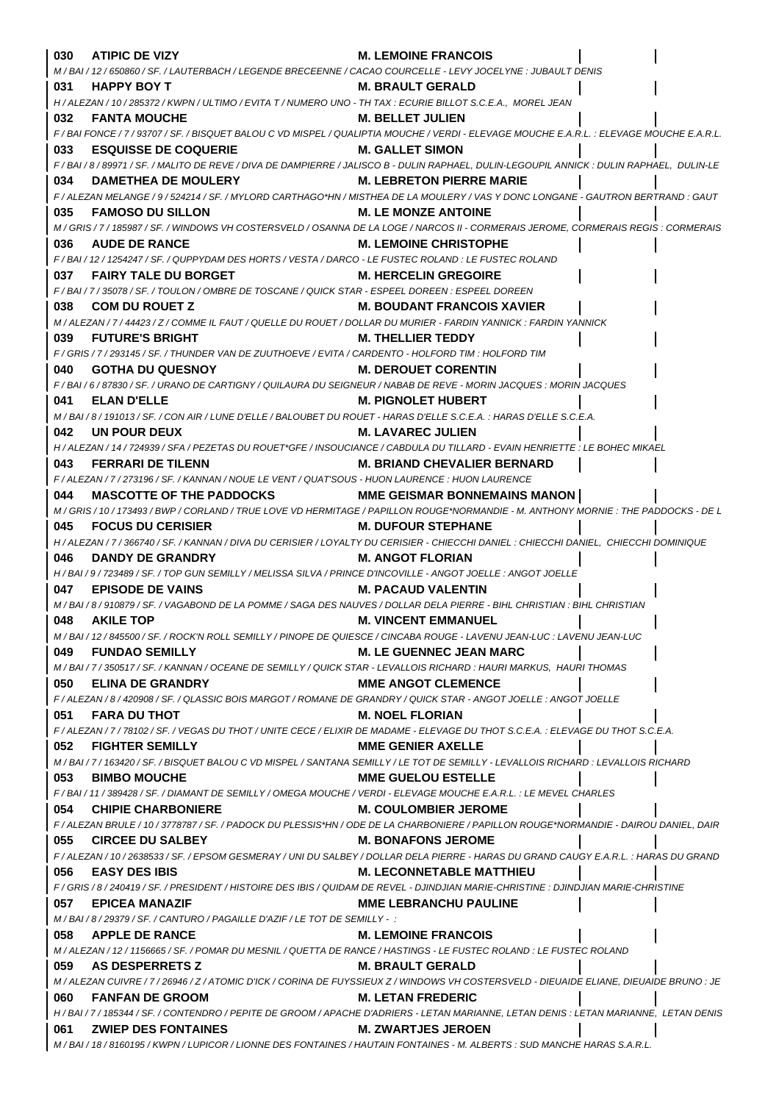| 030<br><b>ATIPIC DE VIZY</b>                                                                                                                            | <b>M. LEMOINE FRANCOIS</b>                                                                                                                                           |
|---------------------------------------------------------------------------------------------------------------------------------------------------------|----------------------------------------------------------------------------------------------------------------------------------------------------------------------|
| M / BAI / 12 / 650860 / SF. / LAUTERBACH / LEGENDE BRECEENNE / CACAO COURCELLE - LEVY JOCELYNE : JUBAULT DENIS                                          |                                                                                                                                                                      |
| <b>HAPPY BOY T</b><br>031                                                                                                                               | <b>M. BRAULT GERALD</b>                                                                                                                                              |
| H / ALEZAN / 10 / 285372 / KWPN / ULTIMO / EVITA T / NUMERO UNO - TH TAX : ECURIE BILLOT S.C.E.A., MOREL JEAN                                           |                                                                                                                                                                      |
| <b>FANTA MOUCHE</b><br>032                                                                                                                              | <b>M. BELLET JULIEN</b>                                                                                                                                              |
|                                                                                                                                                         | F / BAI FONCE / 7 / 93707 / SF. / BISQUET BALOU C VD MISPEL / QUALIPTIA MOUCHE / VERDI - ELEVAGE MOUCHE E.A.R.L. : ELEVAGE MOUCHE E.A.R.L.                           |
| <b>ESQUISSE DE COQUERIE</b><br>033                                                                                                                      | <b>M. GALLET SIMON</b>                                                                                                                                               |
|                                                                                                                                                         | F/BAI/8/89971/SF./MALITO DE REVE/DIVA DE DAMPIERRE/JALISCO B - DULIN RAPHAEL, DULIN-LEGOUPIL ANNICK : DULIN RAPHAEL, DULIN-LE                                        |
| <b>DAMETHEA DE MOULERY</b><br>034                                                                                                                       | <b>M. LEBRETON PIERRE MARIE</b>                                                                                                                                      |
|                                                                                                                                                         | F / ALEZAN MELANGE / 9 / 524214 / SF. / MYLORD CARTHAGO*HN / MISTHEA DE LA MOULERY / VAS Y DONC LONGANE - GAUTRON BERTRAND : GAUT                                    |
| 035<br><b>FAMOSO DU SILLON</b>                                                                                                                          | <b>M. LE MONZE ANTOINE</b>                                                                                                                                           |
|                                                                                                                                                         | M / GRIS / 7 / 185987 / SF. / WINDOWS VH COSTERSVELD / OSANNA DE LA LOGE / NARCOS II - CORMERAIS JEROME, CORMERAIS REGIS : CORMERAIS                                 |
| <b>AUDE DE RANCE</b><br>036                                                                                                                             | <b>M. LEMOINE CHRISTOPHE</b>                                                                                                                                         |
| F/BAI/12/1254247/SF./QUPPYDAM DES HORTS/VESTA/DARCO - LE FUSTEC ROLAND : LE FUSTEC ROLAND                                                               |                                                                                                                                                                      |
| FAIRY TALE DU BORGET<br>037                                                                                                                             | <b>M. HERCELIN GREGOIRE</b>                                                                                                                                          |
| F/BAI/7/35078/SF./TOULON/OMBRE DE TOSCANE/QUICK STAR - ESPEEL DOREEN : ESPEEL DOREEN                                                                    |                                                                                                                                                                      |
| 038<br><b>COM DU ROUET Z</b><br>M / ALEZAN / 7 / 44423 / Z / COMME IL FAUT / QUELLE DU ROUET / DOLLAR DU MURIER - FARDIN YANNICK : FARDIN YANNICK       | <b>M. BOUDANT FRANCOIS XAVIER</b>                                                                                                                                    |
| <b>FUTURE'S BRIGHT</b><br>039                                                                                                                           | <b>M. THELLIER TEDDY</b>                                                                                                                                             |
| F / GRIS / 7 / 293145 / SF. / THUNDER VAN DE ZUUTHOEVE / EVITA / CARDENTO - HOLFORD TIM : HOLFORD TIM                                                   |                                                                                                                                                                      |
| <b>GOTHA DU QUESNOY</b><br>040                                                                                                                          | <b>M. DEROUET CORENTIN</b>                                                                                                                                           |
| F / BAI / 6 / 87830 / SF. / URANO DE CARTIGNY / QUILAURA DU SEIGNEUR / NABAB DE REVE - MORIN JACQUES : MORIN JACQUES                                    |                                                                                                                                                                      |
| <b>ELAN D'ELLE</b><br>041                                                                                                                               | <b>M. PIGNOLET HUBERT</b>                                                                                                                                            |
| M/BAI/8/191013/SF./CON AIR/LUNE D'ELLE/BALOUBET DU ROUET - HARAS D'ELLE S.C.E.A. : HARAS D'ELLE S.C.E.A.                                                |                                                                                                                                                                      |
| UN POUR DEUX<br>042                                                                                                                                     | <b>M. LAVAREC JULIEN</b>                                                                                                                                             |
|                                                                                                                                                         | H / ALEZAN / 14 / 724939 / SFA / PEZETAS DU ROUET*GFE / INSOUCIANCE / CABDULA DU TILLARD - EVAIN HENRIETTE : LE BOHEC MIKAEL                                         |
| <b>FERRARI DE TILENN</b><br>043                                                                                                                         | <b>M. BRIAND CHEVALIER BERNARD</b>                                                                                                                                   |
| F/ALEZAN/7/273196/SF./KANNAN/NOUE LE VENT/QUAT'SOUS - HUON LAURENCE : HUON LAURENCE                                                                     |                                                                                                                                                                      |
| MASCOTTE OF THE PADDOCKS MME GEISMAR BONNEMAINS MANON<br>044                                                                                            |                                                                                                                                                                      |
|                                                                                                                                                         | M/GRIS/10/173493/BWP/CORLAND/TRUE LOVE VD HERMITAGE/PAPILLON ROUGE*NORMANDIE - M. ANTHONY MORNIE : THE PADDOCKS - DE L                                               |
| <b>FOCUS DU CERISIER</b><br>045                                                                                                                         | <b>M. DUFOUR STEPHANE</b>                                                                                                                                            |
|                                                                                                                                                         | H / ALEZAN / 7 / 366740 / SF. / KANNAN / DIVA DU CERISIER / LOYALTY DU CERISIER - CHIECCHI DANIEL : CHIECCHI DANIEL, CHIECCHI DOMINIQUE                              |
| <b>DANDY DE GRANDRY</b><br>046                                                                                                                          | <b>M. ANGOT FLORIAN</b>                                                                                                                                              |
| H/BAI/9/723489/SF./TOP GUN SEMILLY/MELISSA SILVA/PRINCE D'INCOVILLE - ANGOT JOELLE : ANGOT JOELLE                                                       |                                                                                                                                                                      |
| <b>EPISODE DE VAINS</b><br>047                                                                                                                          | <b>M. PACAUD VALENTIN</b>                                                                                                                                            |
| M / BAI / 8 / 910879 / SF. / VAGABOND DE LA POMME / SAGA DES NAUVES / DOLLAR DELA PIERRE - BIHL CHRISTIAN : BIHL CHRISTIAN                              |                                                                                                                                                                      |
| <b>AKILE TOP</b><br>048                                                                                                                                 | <b>M. VINCENT EMMANUEL</b>                                                                                                                                           |
| M / BAI / 12 / 845500 / SF. / ROCK'N ROLL SEMILLY / PINOPE DE QUIESCE / CINCABA ROUGE - LAVENU JEAN-LUC : LAVENU JEAN-LUC                               |                                                                                                                                                                      |
| <b>FUNDAO SEMILLY</b><br>049                                                                                                                            | <b>M. LE GUENNEC JEAN MARC</b>                                                                                                                                       |
| M / BAI / 7 / 350517 / SF. / KANNAN / OCEANE DE SEMILLY / QUICK STAR - LEVALLOIS RICHARD : HAURI MARKUS, HAURI THOMAS<br>050<br><b>ELINA DE GRANDRY</b> | <b>MME ANGOT CLEMENCE</b>                                                                                                                                            |
| F / ALEZAN / 8 / 420908 / SF. / QLASSIC BOIS MARGOT / ROMANE DE GRANDRY / QUICK STAR - ANGOT JOELLE : ANGOT JOELLE                                      |                                                                                                                                                                      |
| 051<br><b>FARA DU THOT</b>                                                                                                                              | <b>M. NOEL FLORIAN</b>                                                                                                                                               |
|                                                                                                                                                         | F/ALEZAN/7/78102/SF./VEGAS DU THOT/UNITE CECE/ELIXIR DE MADAME - ELEVAGE DU THOT S.C.E.A.: ELEVAGE DU THOT S.C.E.A.                                                  |
| 052<br><b>FIGHTER SEMILLY</b>                                                                                                                           | <b>MME GENIER AXELLE</b>                                                                                                                                             |
|                                                                                                                                                         | M / BAI / 7 / 163420 / SF. / BISQUET BALOU C VD MISPEL / SANTANA SEMILLY / LE TOT DE SEMILLY - LEVALLOIS RICHARD : LEVALLOIS RICHARD                                 |
| 053<br><b>BIMBO MOUCHE</b>                                                                                                                              | <b>MME GUELOU ESTELLE</b>                                                                                                                                            |
| F / BAI / 11 / 389428 / SF. / DIAMANT DE SEMILLY / OMEGA MOUCHE / VERDI - ELEVAGE MOUCHE E.A.R.L. : LE MEVEL CHARLES                                    |                                                                                                                                                                      |
| 054<br><b>CHIPIE CHARBONIERE</b>                                                                                                                        | <b>M. COULOMBIER JEROME</b>                                                                                                                                          |
|                                                                                                                                                         | F / ALEZAN BRULE / 10 / 3778787 / SF. / PADOCK DU PLESSIS*HN / ODE DE LA CHARBONIERE / PAPILLON ROUGE*NORMANDIE - DAIROU DANIEL, DAIR                                |
| 055<br><b>CIRCEE DU SALBEY</b>                                                                                                                          | M. BONAFONS JEROME                                                                                                                                                   |
|                                                                                                                                                         | F / ALEZAN / 10 / 2638533 / SF. / EPSOM GESMERAY / UNI DU SALBEY / DOLLAR DELA PIERRE - HARAS DU GRAND CAUGY E.A.R.L. : HARAS DU GRAND                               |
| <b>EASY DES IBIS</b><br>056                                                                                                                             | <b>M. LECONNETABLE MATTHIEU</b>                                                                                                                                      |
|                                                                                                                                                         | F / GRIS / 8 / 240419 / SF. / PRESIDENT / HISTOIRE DES IBIS / QUIDAM DE REVEL - DJINDJIAN MARIE-CHRISTINE : DJINDJIAN MARIE-CHRISTINE                                |
| 057<br><b>EPICEA MANAZIF</b>                                                                                                                            | <b>MME LEBRANCHU PAULINE</b>                                                                                                                                         |
| M/BAI/8/29379/SF./CANTURO/PAGAILLE D'AZIF/LE TOT DE SEMILLY -:                                                                                          |                                                                                                                                                                      |
| 058<br><b>APPLE DE RANCE</b>                                                                                                                            | <b>M. LEMOINE FRANCOIS</b>                                                                                                                                           |
| M/ALEZAN/12/1156665/SF./POMAR DU MESNIL/QUETTA DE RANCE/HASTINGS - LE FUSTEC ROLAND : LE FUSTEC ROLAND                                                  |                                                                                                                                                                      |
| 059<br><b>AS DESPERRETS Z</b>                                                                                                                           | <b>M. BRAULT GERALD</b>                                                                                                                                              |
| 060<br><b>FANFAN DE GROOM</b>                                                                                                                           | M / ALEZAN CUIVRE / 7 / 26946 / Z / ATOMIC D'ICK / CORINA DE FUYSSIEUX Z / WINDOWS VH COSTERSVELD - DIEUAIDE ELIANE, DIEUAIDE BRUNO : JE<br><b>M. LETAN FREDERIC</b> |
|                                                                                                                                                         | H / BAI / 7 / 185344 / SF. / CONTENDRO / PEPITE DE GROOM / APACHE D'ADRIERS - LETAN MARIANNE, LETAN DENIS : LETAN MARIANNE, LETAN DENIS                              |
| <b>ZWIEP DES FONTAINES</b><br>061                                                                                                                       | <b>M. ZWARTJES JEROEN</b>                                                                                                                                            |
|                                                                                                                                                         | M/BAI/18/8160195/KWPN/LUPICOR/LIONNE DES FONTAINES/HAUTAIN FONTAINES - M. ALBERTS : SUD MANCHE HARAS S.A.R.L.                                                        |